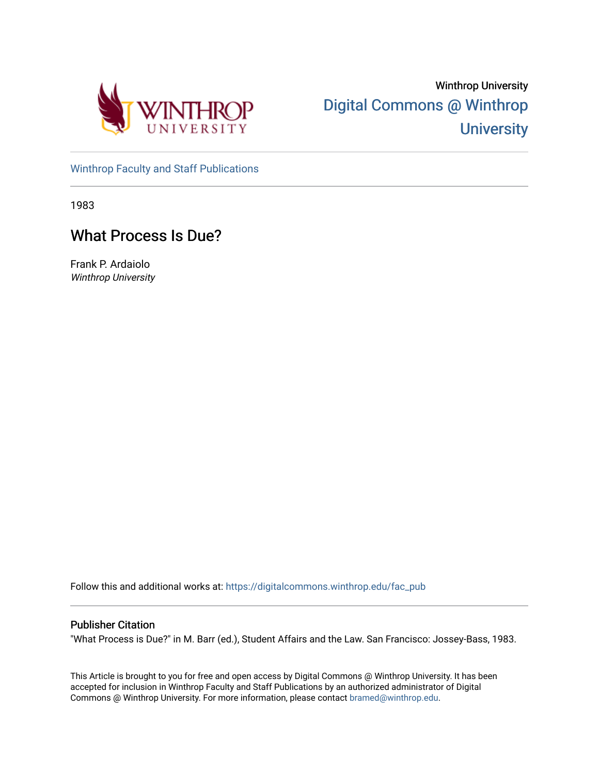

Winthrop University [Digital Commons @ Winthrop](https://digitalcommons.winthrop.edu/)  **University** 

[Winthrop Faculty and Staff Publications](https://digitalcommons.winthrop.edu/fac_pub) 

1983

# What Process Is Due?

Frank P. Ardaiolo Winthrop University

Follow this and additional works at: [https://digitalcommons.winthrop.edu/fac\\_pub](https://digitalcommons.winthrop.edu/fac_pub?utm_source=digitalcommons.winthrop.edu%2Ffac_pub%2F84&utm_medium=PDF&utm_campaign=PDFCoverPages)

# Publisher Citation

"What Process is Due?" in M. Barr (ed.), Student Affairs and the Law. San Francisco: Jossey-Bass, 1983.

This Article is brought to you for free and open access by Digital Commons @ Winthrop University. It has been accepted for inclusion in Winthrop Faculty and Staff Publications by an authorized administrator of Digital Commons @ Winthrop University. For more information, please contact [bramed@winthrop.edu](mailto:bramed@winthrop.edu).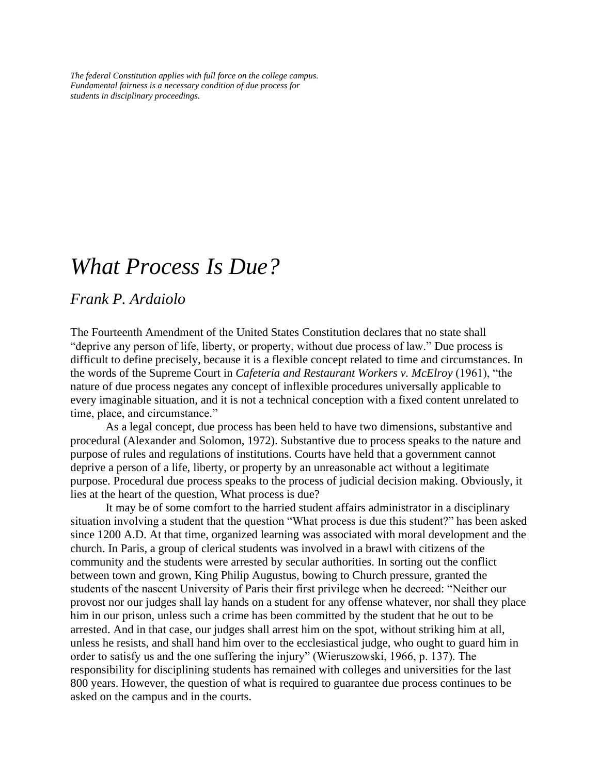*The federal Constitution applies with full force on the college campus. Fundamental fairness is a necessary condition of due process for students in disciplinary proceedings.*

# *What Process Is Due?*

*Frank P. Ardaiolo*

The Fourteenth Amendment of the United States Constitution declares that no state shall "deprive any person of life, liberty, or property, without due process of law." Due process is difficult to define precisely, because it is a flexible concept related to time and circumstances. In the words of the Supreme Court in *Cafeteria and Restaurant Workers v. McElroy* (1961), "the nature of due process negates any concept of inflexible procedures universally applicable to every imaginable situation, and it is not a technical conception with a fixed content unrelated to time, place, and circumstance."

As a legal concept, due process has been held to have two dimensions, substantive and procedural (Alexander and Solomon, 1972). Substantive due to process speaks to the nature and purpose of rules and regulations of institutions. Courts have held that a government cannot deprive a person of a life, liberty, or property by an unreasonable act without a legitimate purpose. Procedural due process speaks to the process of judicial decision making. Obviously, it lies at the heart of the question, What process is due?

It may be of some comfort to the harried student affairs administrator in a disciplinary situation involving a student that the question "What process is due this student?" has been asked since 1200 A.D. At that time, organized learning was associated with moral development and the church. In Paris, a group of clerical students was involved in a brawl with citizens of the community and the students were arrested by secular authorities. In sorting out the conflict between town and grown, King Philip Augustus, bowing to Church pressure, granted the students of the nascent University of Paris their first privilege when he decreed: "Neither our provost nor our judges shall lay hands on a student for any offense whatever, nor shall they place him in our prison, unless such a crime has been committed by the student that he out to be arrested. And in that case, our judges shall arrest him on the spot, without striking him at all, unless he resists, and shall hand him over to the ecclesiastical judge, who ought to guard him in order to satisfy us and the one suffering the injury" (Wieruszowski, 1966, p. 137). The responsibility for disciplining students has remained with colleges and universities for the last 800 years. However, the question of what is required to guarantee due process continues to be asked on the campus and in the courts.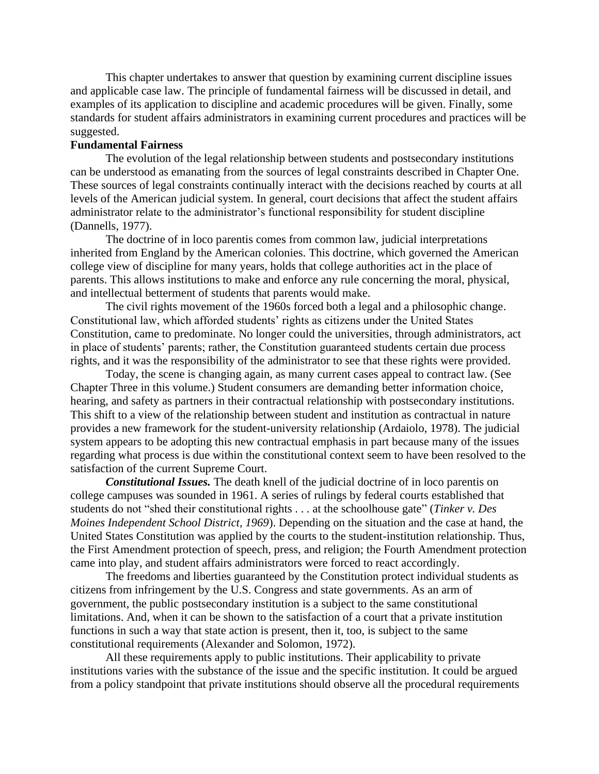This chapter undertakes to answer that question by examining current discipline issues and applicable case law. The principle of fundamental fairness will be discussed in detail, and examples of its application to discipline and academic procedures will be given. Finally, some standards for student affairs administrators in examining current procedures and practices will be suggested.

## **Fundamental Fairness**

The evolution of the legal relationship between students and postsecondary institutions can be understood as emanating from the sources of legal constraints described in Chapter One. These sources of legal constraints continually interact with the decisions reached by courts at all levels of the American judicial system. In general, court decisions that affect the student affairs administrator relate to the administrator's functional responsibility for student discipline (Dannells, 1977).

The doctrine of in loco parentis comes from common law, judicial interpretations inherited from England by the American colonies. This doctrine, which governed the American college view of discipline for many years, holds that college authorities act in the place of parents. This allows institutions to make and enforce any rule concerning the moral, physical, and intellectual betterment of students that parents would make.

The civil rights movement of the 1960s forced both a legal and a philosophic change. Constitutional law, which afforded students' rights as citizens under the United States Constitution, came to predominate. No longer could the universities, through administrators, act in place of students' parents; rather, the Constitution guaranteed students certain due process rights, and it was the responsibility of the administrator to see that these rights were provided.

Today, the scene is changing again, as many current cases appeal to contract law. (See Chapter Three in this volume.) Student consumers are demanding better information choice, hearing, and safety as partners in their contractual relationship with postsecondary institutions. This shift to a view of the relationship between student and institution as contractual in nature provides a new framework for the student-university relationship (Ardaiolo, 1978). The judicial system appears to be adopting this new contractual emphasis in part because many of the issues regarding what process is due within the constitutional context seem to have been resolved to the satisfaction of the current Supreme Court.

*Constitutional Issues.* The death knell of the judicial doctrine of in loco parentis on college campuses was sounded in 1961. A series of rulings by federal courts established that students do not "shed their constitutional rights . . . at the schoolhouse gate" (*Tinker v. Des Moines Independent School District, 1969*). Depending on the situation and the case at hand, the United States Constitution was applied by the courts to the student-institution relationship. Thus, the First Amendment protection of speech, press, and religion; the Fourth Amendment protection came into play, and student affairs administrators were forced to react accordingly.

The freedoms and liberties guaranteed by the Constitution protect individual students as citizens from infringement by the U.S. Congress and state governments. As an arm of government, the public postsecondary institution is a subject to the same constitutional limitations. And, when it can be shown to the satisfaction of a court that a private institution functions in such a way that state action is present, then it, too, is subject to the same constitutional requirements (Alexander and Solomon, 1972).

All these requirements apply to public institutions. Their applicability to private institutions varies with the substance of the issue and the specific institution. It could be argued from a policy standpoint that private institutions should observe all the procedural requirements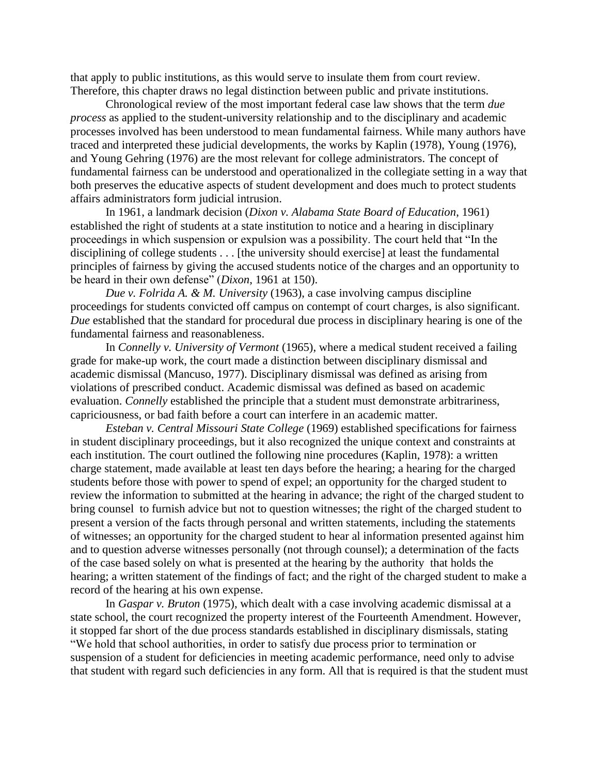that apply to public institutions, as this would serve to insulate them from court review. Therefore, this chapter draws no legal distinction between public and private institutions.

Chronological review of the most important federal case law shows that the term *due process* as applied to the student-university relationship and to the disciplinary and academic processes involved has been understood to mean fundamental fairness. While many authors have traced and interpreted these judicial developments, the works by Kaplin (1978), Young (1976), and Young Gehring (1976) are the most relevant for college administrators. The concept of fundamental fairness can be understood and operationalized in the collegiate setting in a way that both preserves the educative aspects of student development and does much to protect students affairs administrators form judicial intrusion.

In 1961, a landmark decision (*Dixon v. Alabama State Board of Education*, 1961) established the right of students at a state institution to notice and a hearing in disciplinary proceedings in which suspension or expulsion was a possibility. The court held that "In the disciplining of college students . . . [the university should exercise] at least the fundamental principles of fairness by giving the accused students notice of the charges and an opportunity to be heard in their own defense" (*Dixon*, 1961 at 150).

*Due v. Folrida A. & M. University* (1963), a case involving campus discipline proceedings for students convicted off campus on contempt of court charges, is also significant. *Due* established that the standard for procedural due process in disciplinary hearing is one of the fundamental fairness and reasonableness.

In *Connelly v. University of Vermont* (1965), where a medical student received a failing grade for make-up work, the court made a distinction between disciplinary dismissal and academic dismissal (Mancuso, 1977). Disciplinary dismissal was defined as arising from violations of prescribed conduct. Academic dismissal was defined as based on academic evaluation. *Connelly* established the principle that a student must demonstrate arbitrariness, capriciousness, or bad faith before a court can interfere in an academic matter.

*Esteban v. Central Missouri State College* (1969) established specifications for fairness in student disciplinary proceedings, but it also recognized the unique context and constraints at each institution. The court outlined the following nine procedures (Kaplin, 1978): a written charge statement, made available at least ten days before the hearing; a hearing for the charged students before those with power to spend of expel; an opportunity for the charged student to review the information to submitted at the hearing in advance; the right of the charged student to bring counsel to furnish advice but not to question witnesses; the right of the charged student to present a version of the facts through personal and written statements, including the statements of witnesses; an opportunity for the charged student to hear al information presented against him and to question adverse witnesses personally (not through counsel); a determination of the facts of the case based solely on what is presented at the hearing by the authority that holds the hearing; a written statement of the findings of fact; and the right of the charged student to make a record of the hearing at his own expense.

In *Gaspar v. Bruton* (1975), which dealt with a case involving academic dismissal at a state school, the court recognized the property interest of the Fourteenth Amendment. However, it stopped far short of the due process standards established in disciplinary dismissals, stating "We hold that school authorities, in order to satisfy due process prior to termination or suspension of a student for deficiencies in meeting academic performance, need only to advise that student with regard such deficiencies in any form. All that is required is that the student must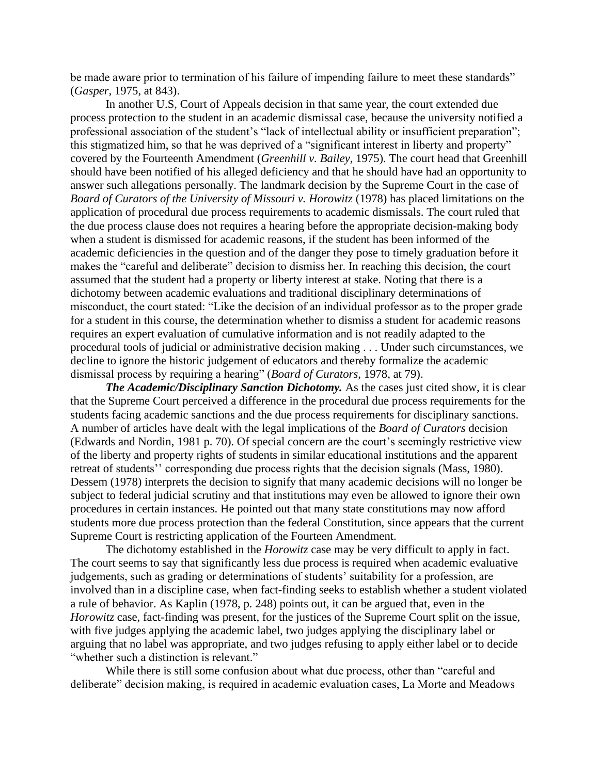be made aware prior to termination of his failure of impending failure to meet these standards" (*Gasper,* 1975, at 843).

In another U.S, Court of Appeals decision in that same year, the court extended due process protection to the student in an academic dismissal case, because the university notified a professional association of the student's "lack of intellectual ability or insufficient preparation"; this stigmatized him, so that he was deprived of a "significant interest in liberty and property" covered by the Fourteenth Amendment (*Greenhill v. Bailey,* 1975). The court head that Greenhill should have been notified of his alleged deficiency and that he should have had an opportunity to answer such allegations personally. The landmark decision by the Supreme Court in the case of *Board of Curators of the University of Missouri v. Horowitz* (1978) has placed limitations on the application of procedural due process requirements to academic dismissals. The court ruled that the due process clause does not requires a hearing before the appropriate decision-making body when a student is dismissed for academic reasons, if the student has been informed of the academic deficiencies in the question and of the danger they pose to timely graduation before it makes the "careful and deliberate" decision to dismiss her. In reaching this decision, the court assumed that the student had a property or liberty interest at stake. Noting that there is a dichotomy between academic evaluations and traditional disciplinary determinations of misconduct, the court stated: "Like the decision of an individual professor as to the proper grade for a student in this course, the determination whether to dismiss a student for academic reasons requires an expert evaluation of cumulative information and is not readily adapted to the procedural tools of judicial or administrative decision making . . . Under such circumstances, we decline to ignore the historic judgement of educators and thereby formalize the academic dismissal process by requiring a hearing" (*Board of Curators,* 1978, at 79).

*The Academic/Disciplinary Sanction Dichotomy.* As the cases just cited show, it is clear that the Supreme Court perceived a difference in the procedural due process requirements for the students facing academic sanctions and the due process requirements for disciplinary sanctions. A number of articles have dealt with the legal implications of the *Board of Curators* decision (Edwards and Nordin, 1981 p. 70). Of special concern are the court's seemingly restrictive view of the liberty and property rights of students in similar educational institutions and the apparent retreat of students'' corresponding due process rights that the decision signals (Mass, 1980). Dessem (1978) interprets the decision to signify that many academic decisions will no longer be subject to federal judicial scrutiny and that institutions may even be allowed to ignore their own procedures in certain instances. He pointed out that many state constitutions may now afford students more due process protection than the federal Constitution, since appears that the current Supreme Court is restricting application of the Fourteen Amendment.

The dichotomy established in the *Horowitz* case may be very difficult to apply in fact. The court seems to say that significantly less due process is required when academic evaluative judgements, such as grading or determinations of students' suitability for a profession, are involved than in a discipline case, when fact-finding seeks to establish whether a student violated a rule of behavior. As Kaplin (1978, p. 248) points out, it can be argued that, even in the *Horowitz* case, fact-finding was present, for the justices of the Supreme Court split on the issue, with five judges applying the academic label, two judges applying the disciplinary label or arguing that no label was appropriate, and two judges refusing to apply either label or to decide "whether such a distinction is relevant."

While there is still some confusion about what due process, other than "careful and deliberate" decision making, is required in academic evaluation cases, La Morte and Meadows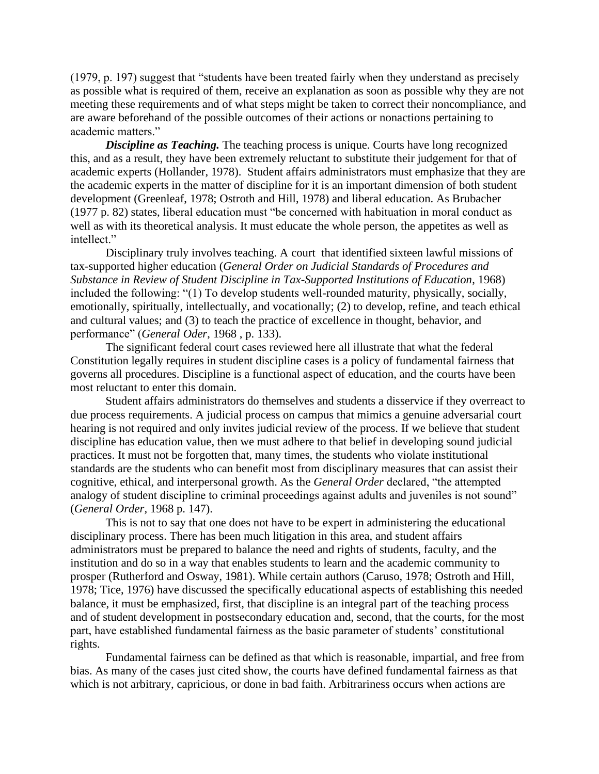(1979, p. 197) suggest that "students have been treated fairly when they understand as precisely as possible what is required of them, receive an explanation as soon as possible why they are not meeting these requirements and of what steps might be taken to correct their noncompliance, and are aware beforehand of the possible outcomes of their actions or nonactions pertaining to academic matters."

**Discipline as Teaching.** The teaching process is unique. Courts have long recognized this, and as a result, they have been extremely reluctant to substitute their judgement for that of academic experts (Hollander, 1978). Student affairs administrators must emphasize that they are the academic experts in the matter of discipline for it is an important dimension of both student development (Greenleaf, 1978; Ostroth and Hill, 1978) and liberal education. As Brubacher (1977 p. 82) states, liberal education must "be concerned with habituation in moral conduct as well as with its theoretical analysis. It must educate the whole person, the appetites as well as intellect."

Disciplinary truly involves teaching. A court that identified sixteen lawful missions of tax-supported higher education (*General Order on Judicial Standards of Procedures and Substance in Review of Student Discipline in Tax-Supported Institutions of Education*, 1968) included the following: "(1) To develop students well-rounded maturity, physically, socially, emotionally, spiritually, intellectually, and vocationally; (2) to develop, refine, and teach ethical and cultural values; and (3) to teach the practice of excellence in thought, behavior, and performance" (*General Oder*, 1968 , p. 133).

The significant federal court cases reviewed here all illustrate that what the federal Constitution legally requires in student discipline cases is a policy of fundamental fairness that governs all procedures. Discipline is a functional aspect of education, and the courts have been most reluctant to enter this domain.

Student affairs administrators do themselves and students a disservice if they overreact to due process requirements. A judicial process on campus that mimics a genuine adversarial court hearing is not required and only invites judicial review of the process. If we believe that student discipline has education value, then we must adhere to that belief in developing sound judicial practices. It must not be forgotten that, many times, the students who violate institutional standards are the students who can benefit most from disciplinary measures that can assist their cognitive, ethical, and interpersonal growth. As the *General Order* declared, "the attempted analogy of student discipline to criminal proceedings against adults and juveniles is not sound" (*General Order,* 1968 p. 147).

This is not to say that one does not have to be expert in administering the educational disciplinary process. There has been much litigation in this area, and student affairs administrators must be prepared to balance the need and rights of students, faculty, and the institution and do so in a way that enables students to learn and the academic community to prosper (Rutherford and Osway, 1981). While certain authors (Caruso, 1978; Ostroth and Hill, 1978; Tice, 1976) have discussed the specifically educational aspects of establishing this needed balance, it must be emphasized, first, that discipline is an integral part of the teaching process and of student development in postsecondary education and, second, that the courts, for the most part, have established fundamental fairness as the basic parameter of students' constitutional rights.

Fundamental fairness can be defined as that which is reasonable, impartial, and free from bias. As many of the cases just cited show, the courts have defined fundamental fairness as that which is not arbitrary, capricious, or done in bad faith. Arbitrariness occurs when actions are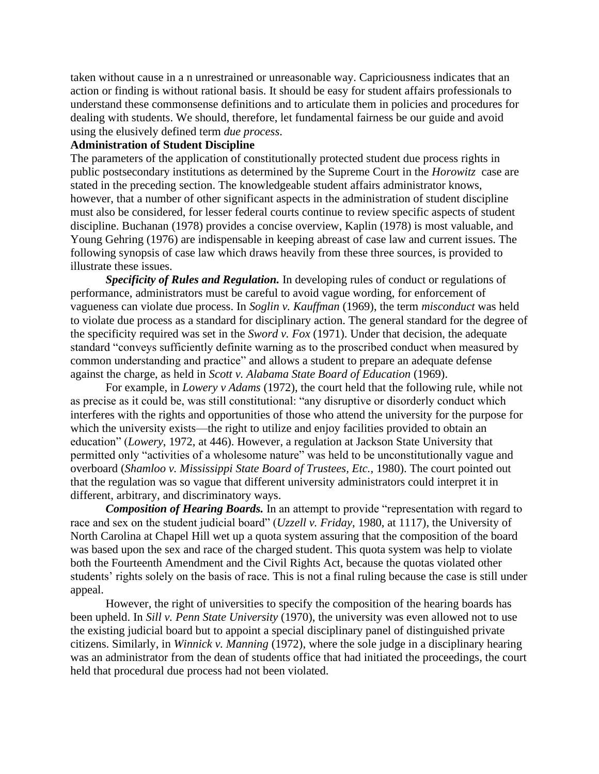taken without cause in a n unrestrained or unreasonable way. Capriciousness indicates that an action or finding is without rational basis. It should be easy for student affairs professionals to understand these commonsense definitions and to articulate them in policies and procedures for dealing with students. We should, therefore, let fundamental fairness be our guide and avoid using the elusively defined term *due process*.

### **Administration of Student Discipline**

The parameters of the application of constitutionally protected student due process rights in public postsecondary institutions as determined by the Supreme Court in the *Horowitz* case are stated in the preceding section. The knowledgeable student affairs administrator knows, however, that a number of other significant aspects in the administration of student discipline must also be considered, for lesser federal courts continue to review specific aspects of student discipline. Buchanan (1978) provides a concise overview, Kaplin (1978) is most valuable, and Young Gehring (1976) are indispensable in keeping abreast of case law and current issues. The following synopsis of case law which draws heavily from these three sources, is provided to illustrate these issues.

*Specificity of Rules and Regulation.* In developing rules of conduct or regulations of performance, administrators must be careful to avoid vague wording, for enforcement of vagueness can violate due process. In *Soglin v. Kauffman* (1969), the term *misconduct* was held to violate due process as a standard for disciplinary action. The general standard for the degree of the specificity required was set in the *Sword v. Fox* (1971). Under that decision, the adequate standard "conveys sufficiently definite warning as to the proscribed conduct when measured by common understanding and practice" and allows a student to prepare an adequate defense against the charge, as held in *Scott v. Alabama State Board of Education* (1969).

For example, in *Lowery v Adams* (1972), the court held that the following rule, while not as precise as it could be, was still constitutional: "any disruptive or disorderly conduct which interferes with the rights and opportunities of those who attend the university for the purpose for which the university exists—the right to utilize and enjoy facilities provided to obtain an education" (*Lowery*, 1972, at 446). However, a regulation at Jackson State University that permitted only "activities of a wholesome nature" was held to be unconstitutionally vague and overboard (*Shamloo v. Mississippi State Board of Trustees, Etc.,* 1980). The court pointed out that the regulation was so vague that different university administrators could interpret it in different, arbitrary, and discriminatory ways.

*Composition of Hearing Boards.* In an attempt to provide "representation with regard to race and sex on the student judicial board" (*Uzzell v. Friday*, 1980, at 1117), the University of North Carolina at Chapel Hill wet up a quota system assuring that the composition of the board was based upon the sex and race of the charged student. This quota system was help to violate both the Fourteenth Amendment and the Civil Rights Act, because the quotas violated other students' rights solely on the basis of race. This is not a final ruling because the case is still under appeal.

However, the right of universities to specify the composition of the hearing boards has been upheld. In *Sill v. Penn State University* (1970), the university was even allowed not to use the existing judicial board but to appoint a special disciplinary panel of distinguished private citizens. Similarly, in *Winnick v. Manning* (1972), where the sole judge in a disciplinary hearing was an administrator from the dean of students office that had initiated the proceedings, the court held that procedural due process had not been violated.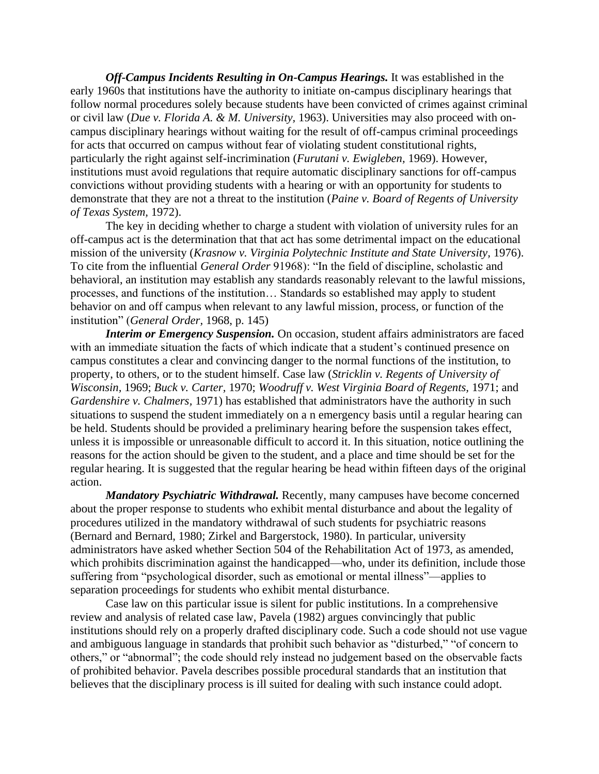*Off-Campus Incidents Resulting in On-Campus Hearings.* It was established in the early 1960s that institutions have the authority to initiate on-campus disciplinary hearings that follow normal procedures solely because students have been convicted of crimes against criminal or civil law (*Due v. Florida A. & M. University,* 1963). Universities may also proceed with oncampus disciplinary hearings without waiting for the result of off-campus criminal proceedings for acts that occurred on campus without fear of violating student constitutional rights, particularly the right against self-incrimination (*Furutani v. Ewigleben,* 1969). However, institutions must avoid regulations that require automatic disciplinary sanctions for off-campus convictions without providing students with a hearing or with an opportunity for students to demonstrate that they are not a threat to the institution (*Paine v. Board of Regents of University of Texas System,* 1972).

The key in deciding whether to charge a student with violation of university rules for an off-campus act is the determination that that act has some detrimental impact on the educational mission of the university (*Krasnow v. Virginia Polytechnic Institute and State University,* 1976). To cite from the influential *General Order* 91968): "In the field of discipline, scholastic and behavioral, an institution may establish any standards reasonably relevant to the lawful missions, processes, and functions of the institution… Standards so established may apply to student behavior on and off campus when relevant to any lawful mission, process, or function of the institution" (*General Order,* 1968, p. 145)

*Interim or Emergency Suspension.* On occasion, student affairs administrators are faced with an immediate situation the facts of which indicate that a student's continued presence on campus constitutes a clear and convincing danger to the normal functions of the institution, to property, to others, or to the student himself. Case law (*Stricklin v. Regents of University of Wisconsin,* 1969; *Buck v. Carter,* 1970; *Woodruff v. West Virginia Board of Regents,* 1971; and *Gardenshire v. Chalmers,* 1971) has established that administrators have the authority in such situations to suspend the student immediately on a n emergency basis until a regular hearing can be held. Students should be provided a preliminary hearing before the suspension takes effect, unless it is impossible or unreasonable difficult to accord it. In this situation, notice outlining the reasons for the action should be given to the student, and a place and time should be set for the regular hearing. It is suggested that the regular hearing be head within fifteen days of the original action.

*Mandatory Psychiatric Withdrawal.* Recently, many campuses have become concerned about the proper response to students who exhibit mental disturbance and about the legality of procedures utilized in the mandatory withdrawal of such students for psychiatric reasons (Bernard and Bernard, 1980; Zirkel and Bargerstock, 1980). In particular, university administrators have asked whether Section 504 of the Rehabilitation Act of 1973, as amended, which prohibits discrimination against the handicapped—who, under its definition, include those suffering from "psychological disorder, such as emotional or mental illness"—applies to separation proceedings for students who exhibit mental disturbance.

Case law on this particular issue is silent for public institutions. In a comprehensive review and analysis of related case law, Pavela (1982) argues convincingly that public institutions should rely on a properly drafted disciplinary code. Such a code should not use vague and ambiguous language in standards that prohibit such behavior as "disturbed," "of concern to others," or "abnormal"; the code should rely instead no judgement based on the observable facts of prohibited behavior. Pavela describes possible procedural standards that an institution that believes that the disciplinary process is ill suited for dealing with such instance could adopt.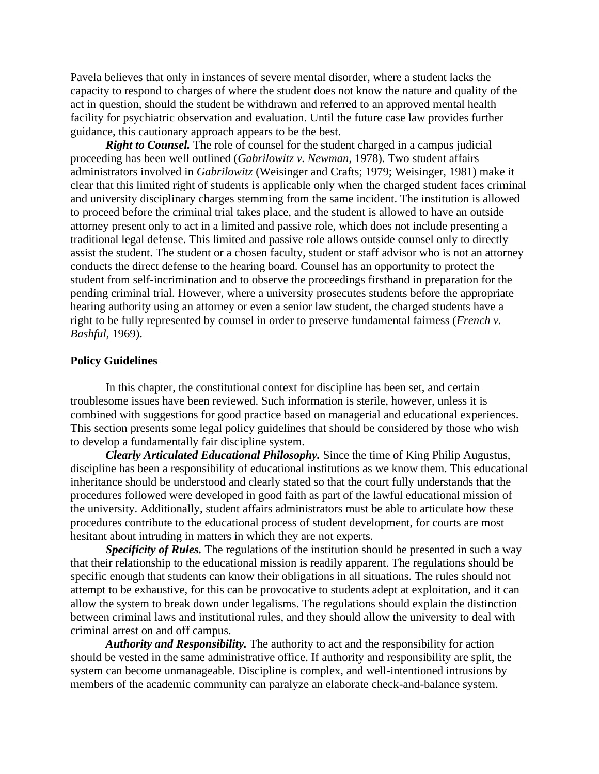Pavela believes that only in instances of severe mental disorder, where a student lacks the capacity to respond to charges of where the student does not know the nature and quality of the act in question, should the student be withdrawn and referred to an approved mental health facility for psychiatric observation and evaluation. Until the future case law provides further guidance, this cautionary approach appears to be the best.

**Right to Counsel.** The role of counsel for the student charged in a campus judicial proceeding has been well outlined (*Gabrilowitz v. Newman*, 1978). Two student affairs administrators involved in *Gabrilowitz* (Weisinger and Crafts; 1979; Weisinger, 1981) make it clear that this limited right of students is applicable only when the charged student faces criminal and university disciplinary charges stemming from the same incident. The institution is allowed to proceed before the criminal trial takes place, and the student is allowed to have an outside attorney present only to act in a limited and passive role, which does not include presenting a traditional legal defense. This limited and passive role allows outside counsel only to directly assist the student. The student or a chosen faculty, student or staff advisor who is not an attorney conducts the direct defense to the hearing board. Counsel has an opportunity to protect the student from self-incrimination and to observe the proceedings firsthand in preparation for the pending criminal trial. However, where a university prosecutes students before the appropriate hearing authority using an attorney or even a senior law student, the charged students have a right to be fully represented by counsel in order to preserve fundamental fairness (*French v. Bashful*, 1969).

#### **Policy Guidelines**

In this chapter, the constitutional context for discipline has been set, and certain troublesome issues have been reviewed. Such information is sterile, however, unless it is combined with suggestions for good practice based on managerial and educational experiences. This section presents some legal policy guidelines that should be considered by those who wish to develop a fundamentally fair discipline system.

*Clearly Articulated Educational Philosophy.* Since the time of King Philip Augustus, discipline has been a responsibility of educational institutions as we know them. This educational inheritance should be understood and clearly stated so that the court fully understands that the procedures followed were developed in good faith as part of the lawful educational mission of the university. Additionally, student affairs administrators must be able to articulate how these procedures contribute to the educational process of student development, for courts are most hesitant about intruding in matters in which they are not experts.

*Specificity of Rules.* The regulations of the institution should be presented in such a way that their relationship to the educational mission is readily apparent. The regulations should be specific enough that students can know their obligations in all situations. The rules should not attempt to be exhaustive, for this can be provocative to students adept at exploitation, and it can allow the system to break down under legalisms. The regulations should explain the distinction between criminal laws and institutional rules, and they should allow the university to deal with criminal arrest on and off campus.

*Authority and Responsibility.* The authority to act and the responsibility for action should be vested in the same administrative office. If authority and responsibility are split, the system can become unmanageable. Discipline is complex, and well-intentioned intrusions by members of the academic community can paralyze an elaborate check-and-balance system.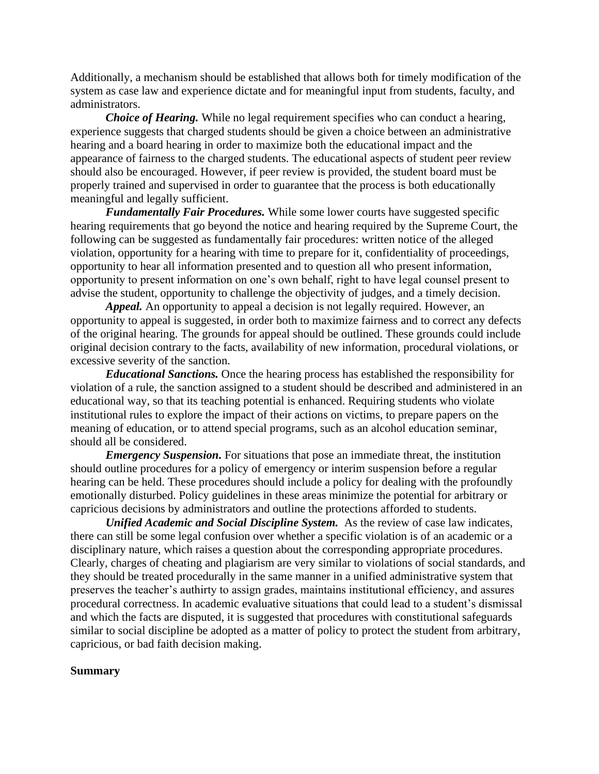Additionally, a mechanism should be established that allows both for timely modification of the system as case law and experience dictate and for meaningful input from students, faculty, and administrators.

*Choice of Hearing.* While no legal requirement specifies who can conduct a hearing, experience suggests that charged students should be given a choice between an administrative hearing and a board hearing in order to maximize both the educational impact and the appearance of fairness to the charged students. The educational aspects of student peer review should also be encouraged. However, if peer review is provided, the student board must be properly trained and supervised in order to guarantee that the process is both educationally meaningful and legally sufficient.

*Fundamentally Fair Procedures.* While some lower courts have suggested specific hearing requirements that go beyond the notice and hearing required by the Supreme Court, the following can be suggested as fundamentally fair procedures: written notice of the alleged violation, opportunity for a hearing with time to prepare for it, confidentiality of proceedings, opportunity to hear all information presented and to question all who present information, opportunity to present information on one's own behalf, right to have legal counsel present to advise the student, opportunity to challenge the objectivity of judges, and a timely decision.

*Appeal.* An opportunity to appeal a decision is not legally required. However, an opportunity to appeal is suggested, in order both to maximize fairness and to correct any defects of the original hearing. The grounds for appeal should be outlined. These grounds could include original decision contrary to the facts, availability of new information, procedural violations, or excessive severity of the sanction.

*Educational Sanctions.* Once the hearing process has established the responsibility for violation of a rule, the sanction assigned to a student should be described and administered in an educational way, so that its teaching potential is enhanced. Requiring students who violate institutional rules to explore the impact of their actions on victims, to prepare papers on the meaning of education, or to attend special programs, such as an alcohol education seminar, should all be considered.

*Emergency Suspension.* For situations that pose an immediate threat, the institution should outline procedures for a policy of emergency or interim suspension before a regular hearing can be held. These procedures should include a policy for dealing with the profoundly emotionally disturbed. Policy guidelines in these areas minimize the potential for arbitrary or capricious decisions by administrators and outline the protections afforded to students.

*Unified Academic and Social Discipline System.* As the review of case law indicates, there can still be some legal confusion over whether a specific violation is of an academic or a disciplinary nature, which raises a question about the corresponding appropriate procedures. Clearly, charges of cheating and plagiarism are very similar to violations of social standards, and they should be treated procedurally in the same manner in a unified administrative system that preserves the teacher's authirty to assign grades, maintains institutional efficiency, and assures procedural correctness. In academic evaluative situations that could lead to a student's dismissal and which the facts are disputed, it is suggested that procedures with constitutional safeguards similar to social discipline be adopted as a matter of policy to protect the student from arbitrary, capricious, or bad faith decision making.

#### **Summary**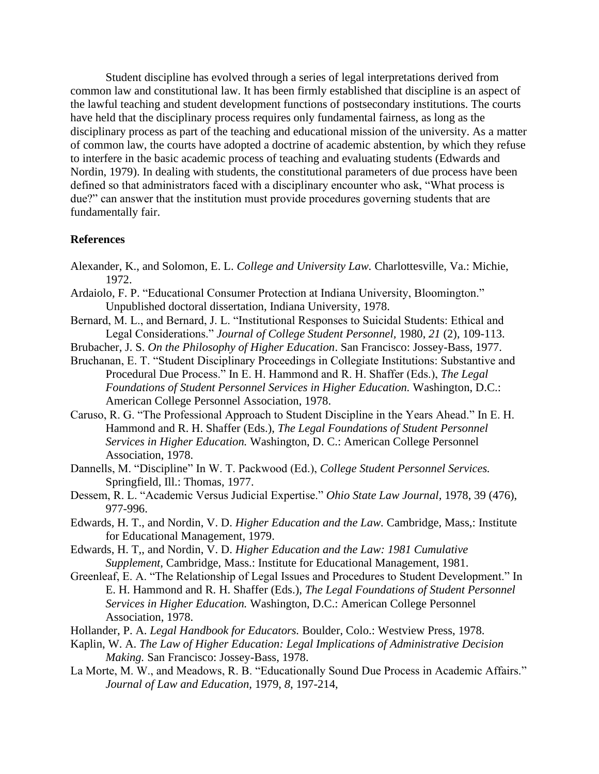Student discipline has evolved through a series of legal interpretations derived from common law and constitutional law. It has been firmly established that discipline is an aspect of the lawful teaching and student development functions of postsecondary institutions. The courts have held that the disciplinary process requires only fundamental fairness, as long as the disciplinary process as part of the teaching and educational mission of the university. As a matter of common law, the courts have adopted a doctrine of academic abstention, by which they refuse to interfere in the basic academic process of teaching and evaluating students (Edwards and Nordin, 1979). In dealing with students, the constitutional parameters of due process have been defined so that administrators faced with a disciplinary encounter who ask, "What process is due?" can answer that the institution must provide procedures governing students that are fundamentally fair.

#### **References**

- Alexander, K., and Solomon, E. L. *College and University Law.* Charlottesville, Va.: Michie, 1972.
- Ardaiolo, F. P. "Educational Consumer Protection at Indiana University, Bloomington." Unpublished doctoral dissertation, Indiana University, 1978.
- Bernard, M. L., and Bernard, J. L. "Institutional Responses to Suicidal Students: Ethical and Legal Considerations." *Journal of College Student Personnel,* 1980, *21* (2), 109-113.
- Brubacher, J. S. *On the Philosophy of Higher Education*. San Francisco: Jossey-Bass, 1977.
- Bruchanan, E. T. "Student Disciplinary Proceedings in Collegiate Institutions: Substantive and Procedural Due Process." In E. H. Hammond and R. H. Shaffer (Eds.), *The Legal Foundations of Student Personnel Services in Higher Education.* Washington, D.C.: American College Personnel Association, 1978.
- Caruso, R. G. "The Professional Approach to Student Discipline in the Years Ahead." In E. H. Hammond and R. H. Shaffer (Eds.), *The Legal Foundations of Student Personnel Services in Higher Education.* Washington, D. C.: American College Personnel Association, 1978.
- Dannells, M. "Discipline" In W. T. Packwood (Ed.), *College Student Personnel Services.*  Springfield, Ill.: Thomas, 1977.
- Dessem, R. L. "Academic Versus Judicial Expertise." *Ohio State Law Journal,* 1978, 39 (476), 977-996.
- Edwards, H. T., and Nordin, V. D. *Higher Education and the Law.* Cambridge, Mass,: Institute for Educational Management, 1979.
- Edwards, H. T,, and Nordin, V. D. *Higher Education and the Law: 1981 Cumulative Supplement,* Cambridge, Mass.: Institute for Educational Management, 1981.
- Greenleaf, E. A. "The Relationship of Legal Issues and Procedures to Student Development." In E. H. Hammond and R. H. Shaffer (Eds.), *The Legal Foundations of Student Personnel Services in Higher Education.* Washington, D.C.: American College Personnel Association, 1978.
- Hollander, P. A. *Legal Handbook for Educators.* Boulder, Colo.: Westview Press, 1978.
- Kaplin, W. A. *The Law of Higher Education: Legal Implications of Administrative Decision Making.* San Francisco: Jossey-Bass, 1978.
- La Morte, M. W., and Meadows, R. B. "Educationally Sound Due Process in Academic Affairs." *Journal of Law and Education,* 1979, *8*, 197-214,